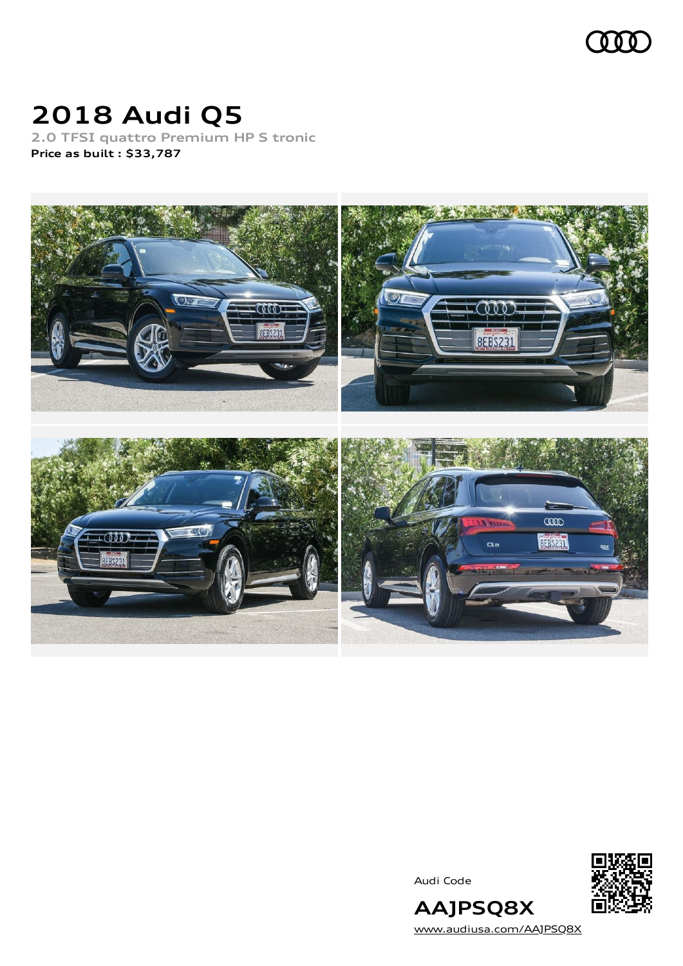

# **2018 Audi Q5**

**2.0 TFSI quattro Premium HP S tronic Price as built [:](#page-10-0) \$33,787**



Audi Code



[www.audiusa.com/AAJPSQ8X](https://www.audiusa.com/AAJPSQ8X)

**AAJPSQ8X**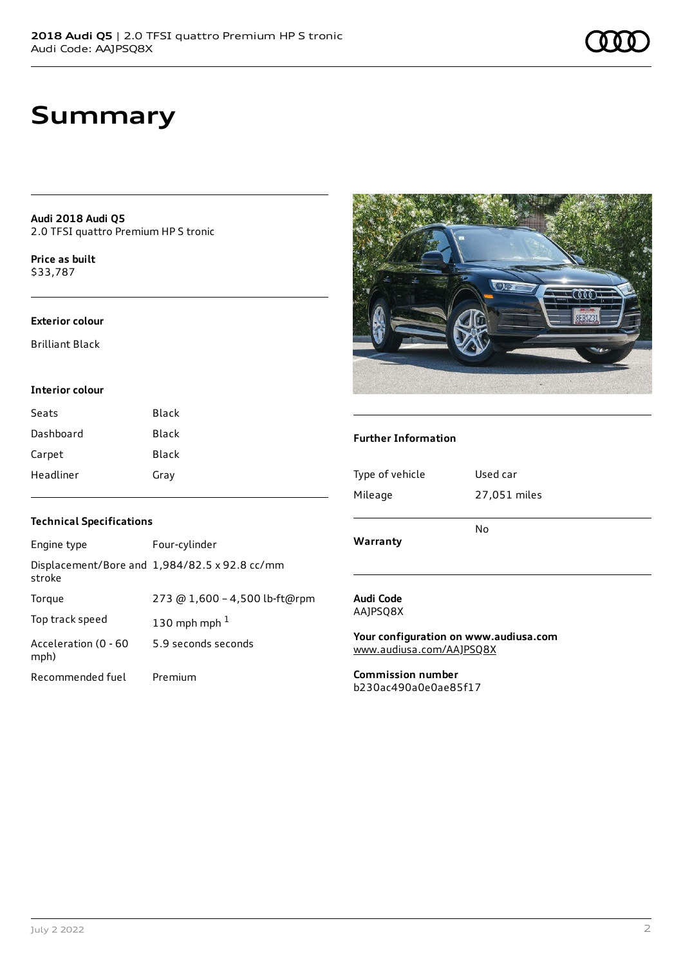## **Summary**

**Audi 2018 Audi Q5** 2.0 TFSI quattro Premium HP S tronic

**Price as buil[t](#page-10-0)** \$33,787

#### **Exterior colour**

Brilliant Black

#### **Interior colour**

| Seats     | Black |
|-----------|-------|
| Dashboard | Black |
| Carpet    | Black |
| Headliner | Gray  |



#### **Further Information**

| Type of vehicle | Used car     |
|-----------------|--------------|
| Mileage         | 27,051 miles |
| Warranty        | No           |

### **Technical Specifications**

| Engine type                  | Four-cylinder                                 |
|------------------------------|-----------------------------------------------|
| stroke                       | Displacement/Bore and 1,984/82.5 x 92.8 cc/mm |
| Torque                       | 273 @ 1,600 - 4,500 lb-ft@rpm                 |
| Top track speed              | 130 mph mph $1$                               |
| Acceleration (0 - 60<br>mph) | 5.9 seconds seconds                           |
| Recommended fuel             | Premium                                       |

#### **Audi Code** AAJPSQ8X

**Your configuration on www.audiusa.com** [www.audiusa.com/AAJPSQ8X](https://www.audiusa.com/AAJPSQ8X)

**Commission number** b230ac490a0e0ae85f17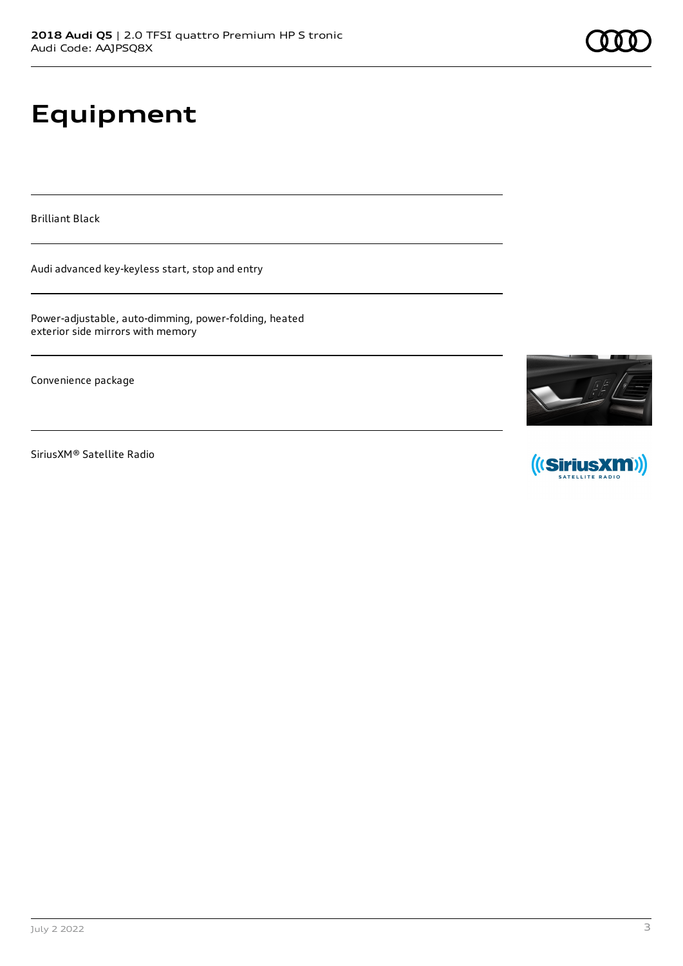# **Equipment**

Brilliant Black

Audi advanced key-keyless start, stop and entry

Power-adjustable, auto-dimming, power-folding, heated exterior side mirrors with memory

Convenience package

SiriusXM® Satellite Radio



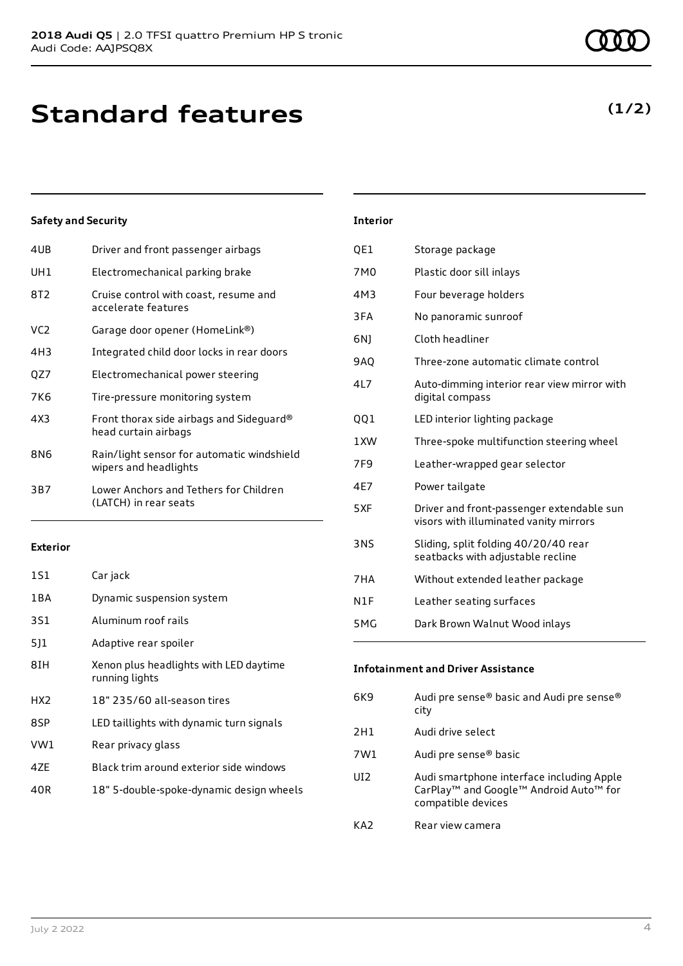| 4UB             | Driver and front passenger airbags                                  |
|-----------------|---------------------------------------------------------------------|
| UH1             | Electromechanical parking brake                                     |
| 8T2             | Cruise control with coast, resume and<br>accelerate features        |
| VC <sub>2</sub> | Garage door opener (HomeLink®)                                      |
| 4H3             | Integrated child door locks in rear doors                           |
| QZ7             | Electromechanical power steering                                    |
| 7K6             | Tire-pressure monitoring system                                     |
| 4X3             | Front thorax side airbags and Sideguard®<br>head curtain airbags    |
| 8N6             | Rain/light sensor for automatic windshield<br>wipers and headlights |
| 3B7             | Lower Anchors and Tethers for Children<br>(LATCH) in rear seats     |
|                 |                                                                     |

### **Exterior**

| 1S1             | Car jack                                                 |
|-----------------|----------------------------------------------------------|
| 1 B A           | Dynamic suspension system                                |
| 3S1             | Aluminum roof rails                                      |
| 511             | Adaptive rear spoiler                                    |
| 8IH             | Xenon plus headlights with LED daytime<br>running lights |
| HX <sub>2</sub> | 18" 235/60 all-season tires                              |
| 8SP             | LED taillights with dynamic turn signals                 |
| VW1             | Rear privacy glass                                       |
| 47F             | Black trim around exterior side windows                  |
| 40R             | 18" 5-double-spoke-dynamic design wheels                 |
|                 |                                                          |

| <b>Interior</b> |                                                                                     |
|-----------------|-------------------------------------------------------------------------------------|
| QE1             | Storage package                                                                     |
| 7M <sub>0</sub> | Plastic door sill inlays                                                            |
| 4M3             | Four beverage holders                                                               |
| 3FA             | No panoramic sunroof                                                                |
| 6N)             | Cloth headliner                                                                     |
| <b>9AO</b>      | Three-zone automatic climate control                                                |
| 417             | Auto-dimming interior rear view mirror with<br>digital compass                      |
| QQ1             | LED interior lighting package                                                       |
| 1 XW            | Three-spoke multifunction steering wheel                                            |
| 7F <sub>9</sub> | Leather-wrapped gear selector                                                       |
| 4E7             | Power tailgate                                                                      |
| 5XF             | Driver and front-passenger extendable sun<br>visors with illuminated vanity mirrors |
| <b>3NS</b>      | Sliding, split folding 40/20/40 rear<br>seatbacks with adjustable recline           |
| 7HA             | Without extended leather package                                                    |
| N1F             | Leather seating surfaces                                                            |
| 5MG             | Dark Brown Walnut Wood inlays                                                       |

| Infotainment and Driver Assistance |                                                                                                                                               |  |
|------------------------------------|-----------------------------------------------------------------------------------------------------------------------------------------------|--|
| 6K9                                | Audi pre sense® basic and Audi pre sense®<br>city                                                                                             |  |
| 2H1                                | Audi drive select                                                                                                                             |  |
| 7W1                                | Audi pre sense® basic                                                                                                                         |  |
| UT2.                               | Audi smartphone interface including Apple<br>CarPlay <sup>™</sup> and Google <sup>™</sup> Android Auto <sup>™</sup> for<br>compatible devices |  |
| KA2                                | Rear view camera                                                                                                                              |  |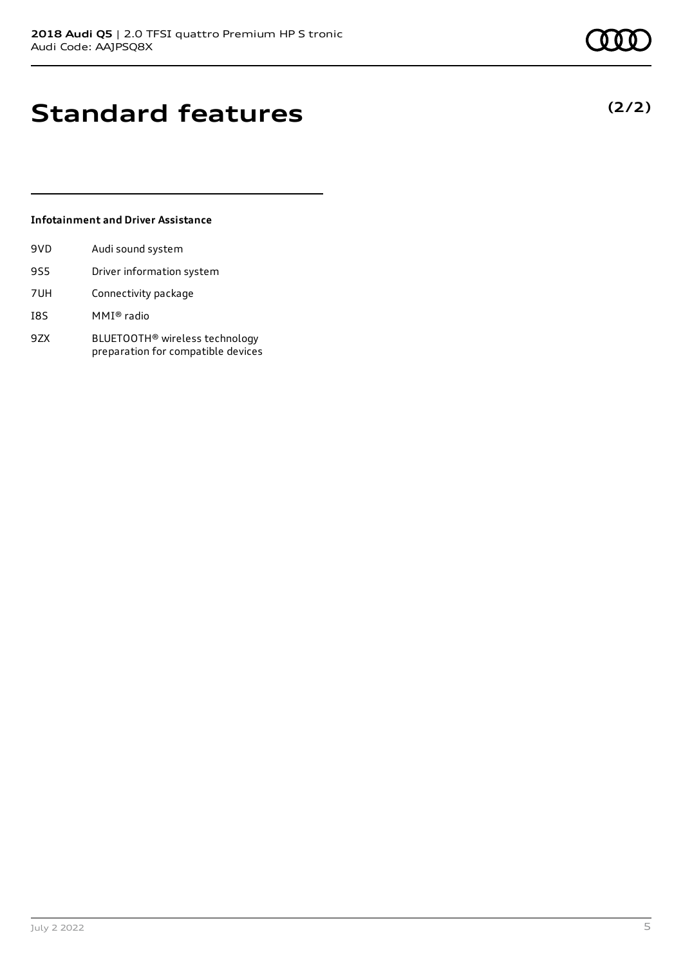**(2/2)**

## **Standard features**

### **Infotainment and Driver Assistance**

| 9VD        | Audi sound system                                                                |
|------------|----------------------------------------------------------------------------------|
| <b>9S5</b> | Driver information system                                                        |
| 7UH        | Connectivity package                                                             |
| I8S        | MMI® radio                                                                       |
| 9ZX        | BLUETOOTH <sup>®</sup> wireless technology<br>preparation for compatible devices |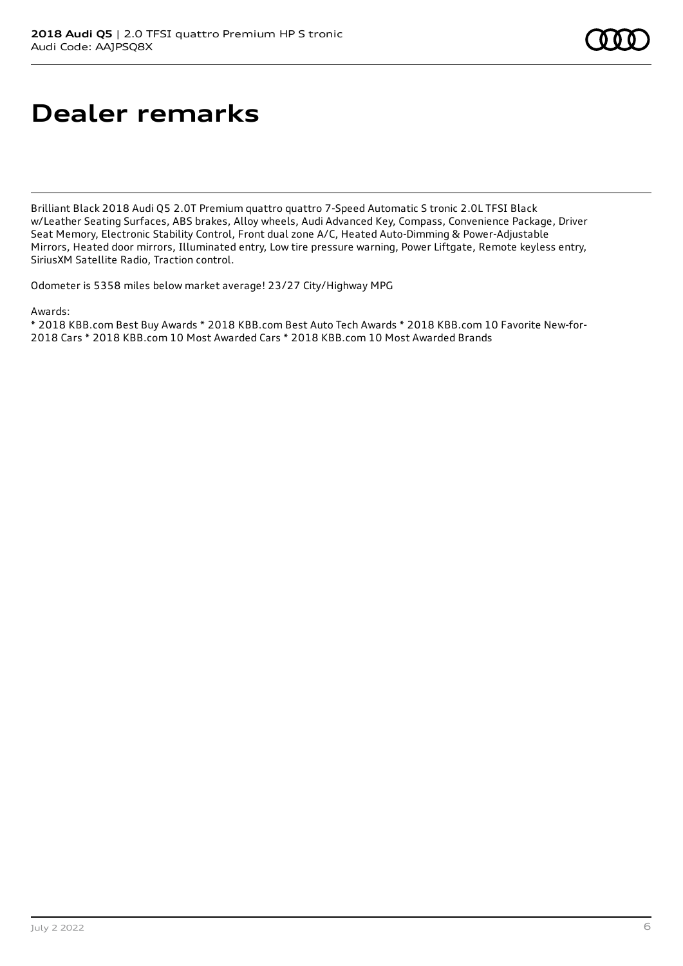## **Dealer remarks**

Brilliant Black 2018 Audi Q5 2.0T Premium quattro quattro 7-Speed Automatic S tronic 2.0L TFSI Black w/Leather Seating Surfaces, ABS brakes, Alloy wheels, Audi Advanced Key, Compass, Convenience Package, Driver Seat Memory, Electronic Stability Control, Front dual zone A/C, Heated Auto-Dimming & Power-Adjustable Mirrors, Heated door mirrors, Illuminated entry, Low tire pressure warning, Power Liftgate, Remote keyless entry, SiriusXM Satellite Radio, Traction control.

Odometer is 5358 miles below market average! 23/27 City/Highway MPG

Awards:

\* 2018 KBB.com Best Buy Awards \* 2018 KBB.com Best Auto Tech Awards \* 2018 KBB.com 10 Favorite New-for-2018 Cars \* 2018 KBB.com 10 Most Awarded Cars \* 2018 KBB.com 10 Most Awarded Brands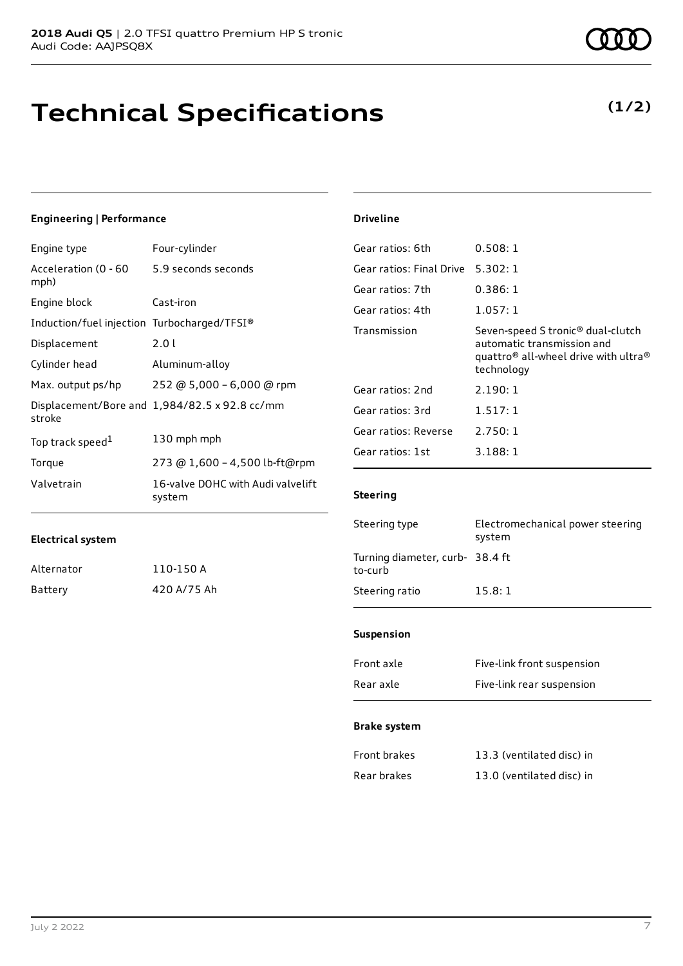## **Technical Specifications**

**(1/2)**

### **Engineering | Performance**

| Engine type                                 | Four-cylinder                                 |
|---------------------------------------------|-----------------------------------------------|
| Acceleration (0 - 60<br>mph)                | 5.9 seconds seconds                           |
| Engine block                                | Cast-iron                                     |
| Induction/fuel injection Turbocharged/TFSI® |                                               |
| Displacement                                | 2.01                                          |
| Cylinder head                               | Aluminum-alloy                                |
| Max. output ps/hp                           | 252 @ 5,000 - 6,000 @ rpm                     |
| stroke                                      | Displacement/Bore and 1,984/82.5 x 92.8 cc/mm |
| Top track speed <sup>1</sup>                | 130 mph mph                                   |
| Torque                                      | 273 @ 1,600 - 4,500 lb-ft@rpm                 |
| Valvetrain                                  | 16-valve DOHC with Audi valvelift<br>system   |

#### **Driveline**

| Gear ratios: 6th         | 0.508:1                                                                                                                                                   |
|--------------------------|-----------------------------------------------------------------------------------------------------------------------------------------------------------|
| Gear ratios: Final Drive | 5.302:1                                                                                                                                                   |
| Gear ratios: 7th         | 0.386:1                                                                                                                                                   |
| Gear ratios: 4th         | 1.057:1                                                                                                                                                   |
| Transmission             | Seven-speed S tronic <sup>®</sup> dual-clutch<br>automatic transmission and<br>quattro <sup>®</sup> all-wheel drive with ultra <sup>®</sup><br>technology |
| Gear ratios: 2nd         | 2.190:1                                                                                                                                                   |
| Gear ratios: 3rd         | 1.517:1                                                                                                                                                   |
| Gear ratios: Reverse     | 2.750:1                                                                                                                                                   |
| Gear ratios: 1st         | 3.188:1                                                                                                                                                   |
|                          |                                                                                                                                                           |

### **Steering**

| Steering type                             | Electromechanical power steering<br>system |
|-------------------------------------------|--------------------------------------------|
| Turning diameter, curb-38.4 ft<br>to-curb |                                            |
| Steering ratio                            | 15.8:1                                     |
|                                           |                                            |

### **Suspension**

| Front axle | Five-link front suspension |
|------------|----------------------------|
| Rear axle  | Five-link rear suspension  |

#### **Brake system**

| Front brakes | 13.3 (ventilated disc) in |
|--------------|---------------------------|
| Rear brakes  | 13.0 (ventilated disc) in |

| Alternator | 110-150 A   |
|------------|-------------|
| Battery    | 420 A/75 Ah |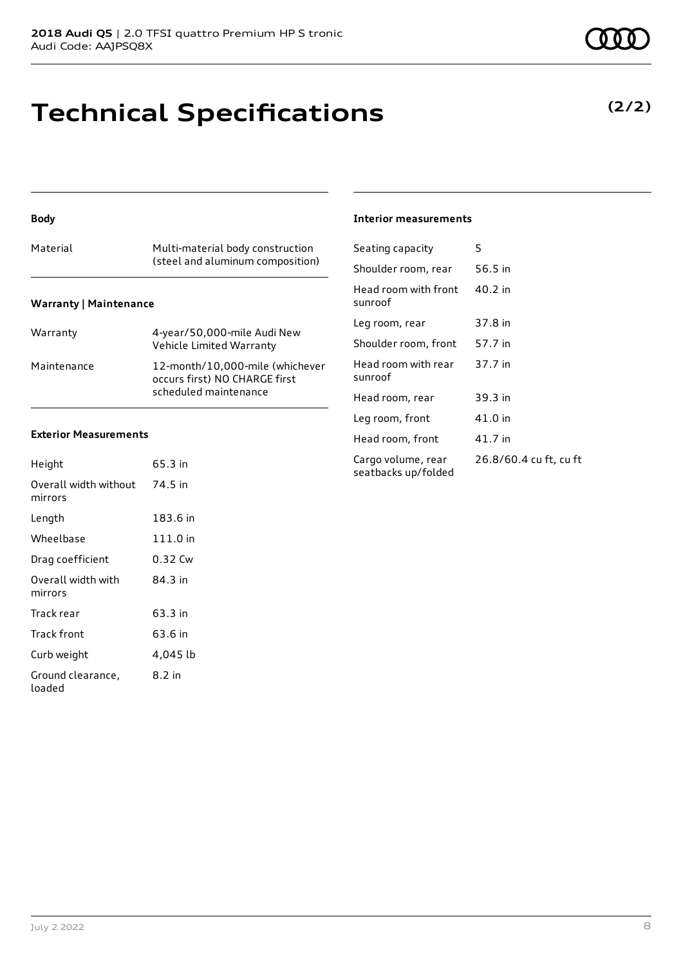# **Technical Specifications**

## **Body**

| Material | Multi-material body construction<br>(steel and aluminum composition) |
|----------|----------------------------------------------------------------------|
|          |                                                                      |

### **Warranty | Maintenance**

| Warranty    | 4-year/50,000-mile Audi New<br>Vehicle Limited Warranty                                   |
|-------------|-------------------------------------------------------------------------------------------|
| Maintenance | 12-month/10,000-mile (whichever<br>occurs first) NO CHARGE first<br>scheduled maintenance |

#### **Exterior Measurements**

| Height                           | 65.3 in  |
|----------------------------------|----------|
| Overall width without<br>mirrors | 74.5 in  |
| Length                           | 183.6 in |
| Wheelbase                        | 111.0 in |
| Drag coefficient                 | 0.32 Cw  |
| Overall width with<br>mirrors    | 84 3 in  |
| Track rear                       | 63.3 in  |
| Track front                      | 63.6 in  |
| Curb weight                      | 4,045 lb |
| Ground clearance,<br>loaded      | 8.2 in   |

#### **Interior measurements**

| Seating capacity                          | 5                      |
|-------------------------------------------|------------------------|
| Shoulder room, rear                       | 56.5 in                |
| Head room with front<br>sunroof           | 40.2 in                |
| Leg room, rear                            | 37.8 in                |
| Shoulder room, front                      | 57.7 in                |
| Head room with rear<br>sunroof            | 37.7 in                |
| Head room, rear                           | 39.3 in                |
| Leg room, front                           | 41.0 in                |
| Head room, front                          | 41.7 in                |
| Cargo volume, rear<br>seatbacks up/folded | 26.8/60.4 cu ft, cu ft |
|                                           |                        |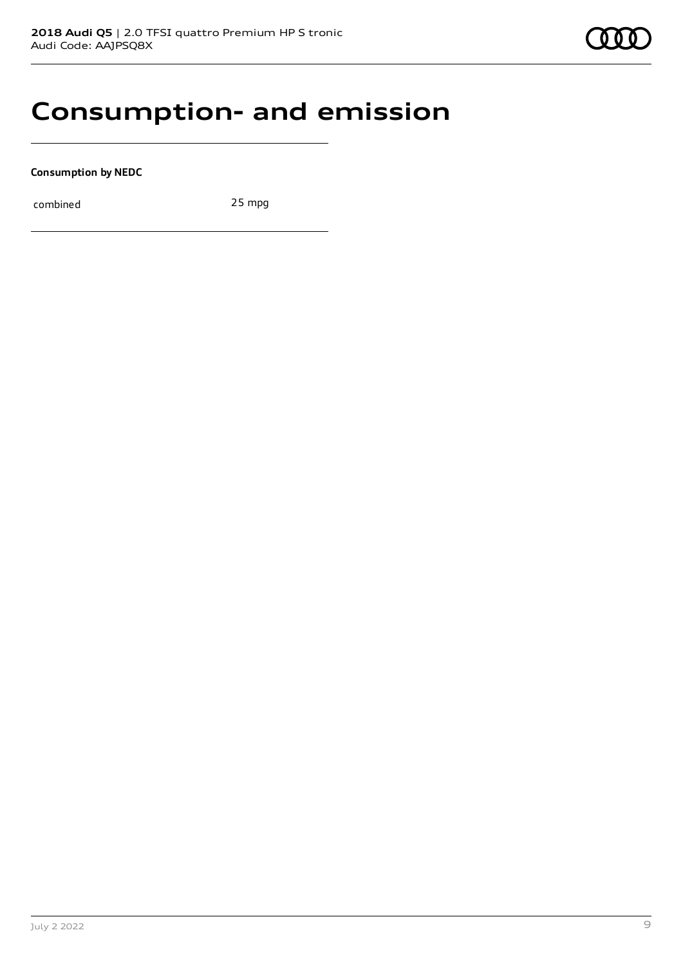## **Consumption- and emission**

**Consumption by NEDC**

combined 25 mpg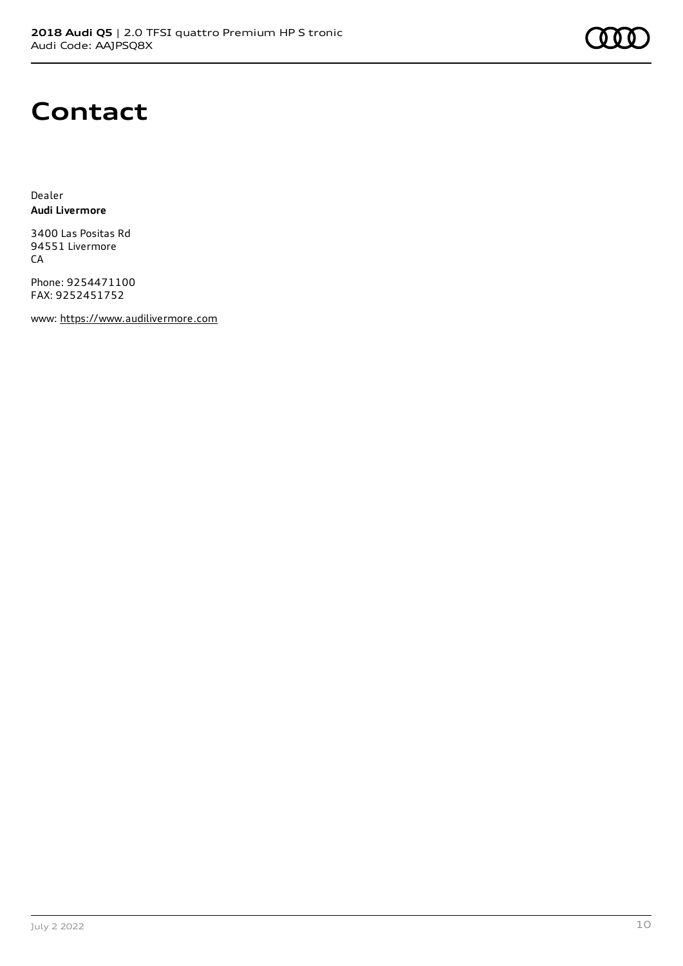## **Contact**

Dealer **Audi Livermore**

3400 Las Positas Rd 94551 Livermore **CA** 

Phone: 9254471100 FAX: 9252451752

www: [https://www.audilivermore.com](https://www.audilivermore.com/)